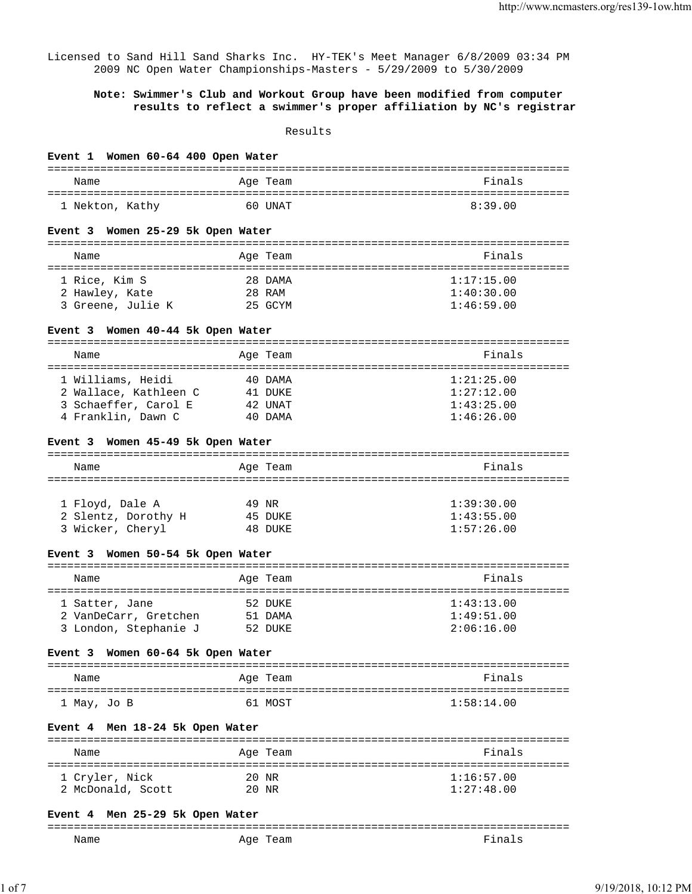Licensed to Sand Hill Sand Sharks Inc. HY-TEK's Meet Manager 6/8/2009 03:34 PM 2009 NC Open Water Championships-Masters - 5/29/2009 to 5/30/2009

## **Note: Swimmer's Club and Workout Group have been modified from computer results to reflect a swimmer's proper affiliation by NC's registrar**

Results

| Event 1 Women 60-64 400 Open Water |          |            |
|------------------------------------|----------|------------|
| Name                               | Age Team | Finals     |
| 1 Nekton, Kathy                    | 60 UNAT  | 8:39.00    |
|                                    |          |            |
| Event 3 Women 25-29 5k Open Water  |          |            |
| Name                               | Age Team | Finals     |
| 1 Rice, Kim S                      | 28 DAMA  | 1:17:15.00 |
| 2 Hawley, Kate                     | 28 RAM   | 1:40:30.00 |
| 3 Greene, Julie K                  | 25 GCYM  | 1:46:59.00 |
| Event 3 Women 40-44 5k Open Water  |          |            |
| Name                               | Age Team | Finals     |
|                                    |          |            |
| 1 Williams, Heidi                  | 40 DAMA  | 1:21:25.00 |
| 2 Wallace, Kathleen C              | 41 DUKE  | 1:27:12.00 |
| 3 Schaeffer, Carol E               | 42 UNAT  | 1:43:25.00 |
| 4 Franklin, Dawn C                 | 40 DAMA  | 1:46:26.00 |
| Event 3 Women 45-49 5k Open Water  |          |            |
| Name                               | Age Team | Finals     |
|                                    |          |            |
|                                    |          |            |
| 1 Floyd, Dale A                    | 49 NR    | 1:39:30.00 |
| 2 Slentz, Dorothy H                | 45 DUKE  | 1:43:55.00 |
| 3 Wicker, Cheryl                   | 48 DUKE  | 1:57:26.00 |
| Event 3 Women 50-54 5k Open Water  |          |            |
| Name                               | Age Team | Finals     |
|                                    |          |            |
| 1 Satter, Jane                     | 52 DUKE  | 1:43:13.00 |
| 2 VanDeCarr, Gretchen              | 51 DAMA  | 1:49:51.00 |
| 3 London, Stephanie J              | 52 DUKE  | 2:06:16.00 |
| Event 3 Women 60-64 5k Open Water  |          |            |
| Name                               | Age Team | Finals     |
| l May, Jo B                        | 61 MOST  | 1:58:14.00 |
| Event 4 Men 18-24 5k Open Water    |          |            |
|                                    |          |            |
| Name                               | Age Team | Finals     |
| 1 Cryler, Nick                     | 20 NR    | 1:16:57.00 |
| 2 McDonald, Scott                  | 20 NR    | 1:27:48.00 |
| Event 4 Men 25-29 5k Open Water    |          |            |
| Name                               | Age Team | Finals     |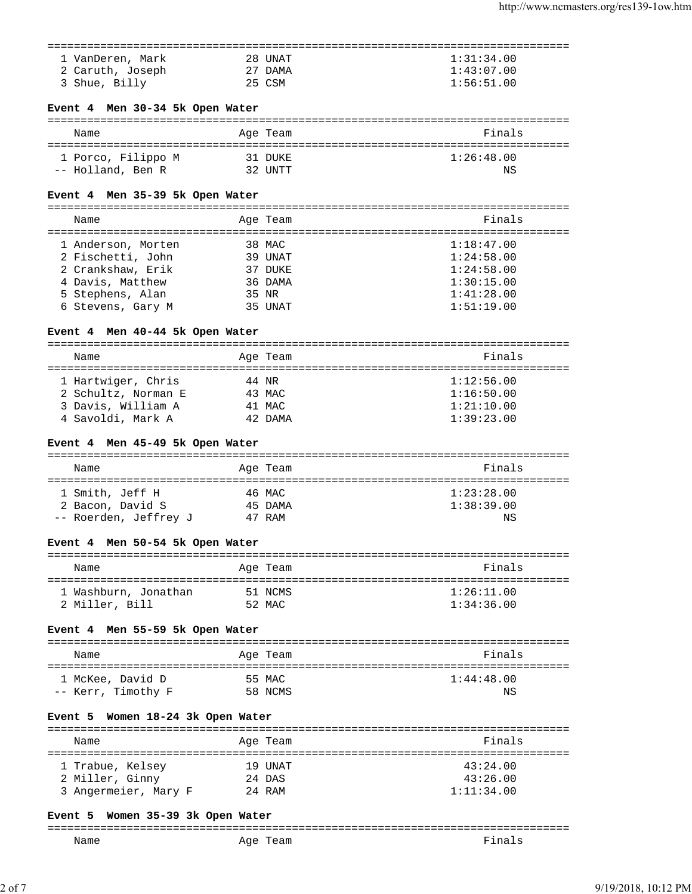| 1 VanDeren, Mark | 28 UNAT | 1:31:34.00 |
|------------------|---------|------------|
| 2 Caruth, Joseph | 27 DAMA | 1:43:07.00 |
| 3 Shue, Billy    | 25 CSM  | 1:56:51.00 |

# **Event 4 Men 30-34 5k Open Water**

| Name               | Age Team | Finals     |
|--------------------|----------|------------|
| 1 Porco, Filippo M | 31 DUKE  | 1:26:48.00 |
| -- Holland, Ben R  | 32 UNTT  | ΝS         |

## **Event 4 Men 35-39 5k Open Water**

=============================================================================== Name **Age Team** Age Team Finals

| 1 Anderson, Morten | 38 MAC  | 1:18:47.00 |
|--------------------|---------|------------|
| 2 Fischetti, John  | 39 UNAT | 1:24:58.00 |
| 2 Crankshaw, Erik  | 37 DUKE | 1:24:58.00 |
| 4 Davis, Matthew   | 36 DAMA | 1:30:15.00 |
| 5 Stephens, Alan   | 35 NR   | 1:41:28.00 |
| 6 Stevens, Gary M  | 35 UNAT | 1:51:19.00 |
|                    |         |            |

# **Event 4 Men 40-44 5k Open Water**

| Name                | Age Team | Finals     |
|---------------------|----------|------------|
| 1 Hartwiger, Chris  | 44 NR    | 1:12:56.00 |
| 2 Schultz, Norman E | 43 MAC   | 1:16:50.00 |
| 3 Davis, William A  | 41 MAC   | 1:21:10.00 |
| 4 Savoldi, Mark A   | 42 DAMA  | 1:39:23.00 |

# **Event 4 Men 45-49 5k Open Water**

| Name                  | Age Team | Finals     |
|-----------------------|----------|------------|
| 1 Smith, Jeff H       | 46 MAC   | 1:23:28.00 |
| 2 Bacon, David S      | 45 DAMA  | 1:38:39.00 |
| -- Roerden, Jeffrey J | 47 RAM   | ΝS         |

## **Event 4 Men 50-54 5k Open Water**

| Name                 | Age Team | Finals     |
|----------------------|----------|------------|
| 1 Washburn, Jonathan | 51 NCMS  | 1:26:11.00 |
| 2 Miller, Bill       | 52 MAC   | 1:34:36.00 |

# **Event 4 Men 55-59 5k Open Water**

| Name               | Age Team | Finals     |
|--------------------|----------|------------|
| 1 McKee, David D   | 55 MAC   | 1:44:48.00 |
| -- Kerr, Timothy F | 58 NCMS  | ΝS         |

## **Event 5 Women 18-24 3k Open Water**

| Name                 | Age Team | Finals     |
|----------------------|----------|------------|
| 1 Trabue, Kelsey     | 19 UNAT  | 43:24.00   |
| 2 Miller, Ginny      | 24 DAS   | 43:26.00   |
| 3 Angermeier, Mary F | $24$ RAM | 1:11:34.00 |

## **Event 5 Women 35-39 3k Open Water**

| --            |                      | ___           |
|---------------|----------------------|---------------|
| Name<br>_____ | Aqe<br>⊸<br>-<br>___ | $\sim$ $\sim$ |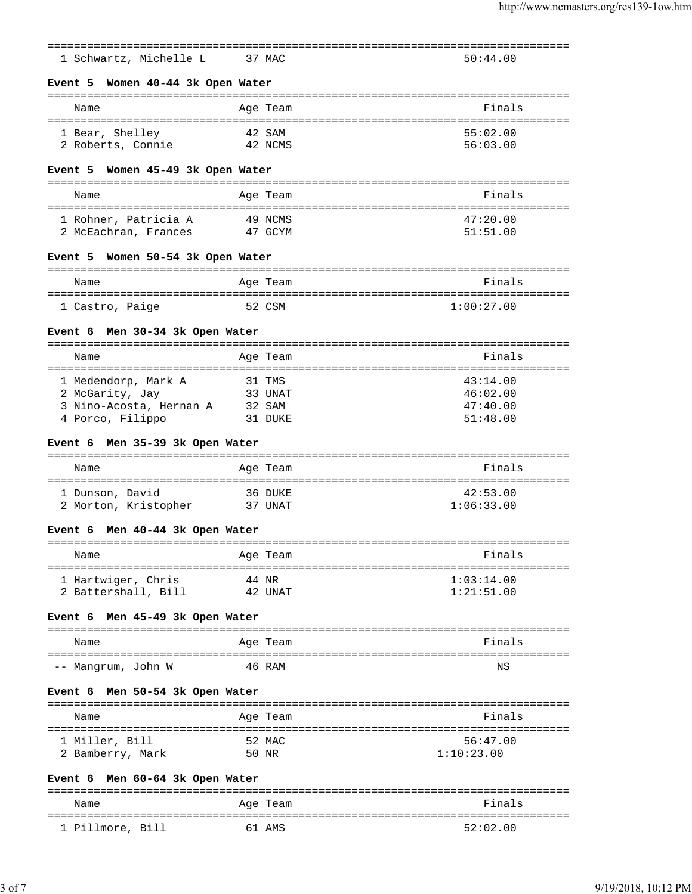| 1 Schwartz, Michelle L                           | 37 MAC              |                                             | 50:44.00   |
|--------------------------------------------------|---------------------|---------------------------------------------|------------|
|                                                  |                     |                                             |            |
| Event 5 Women 40-44 3k Open Water                |                     |                                             |            |
| Name                                             | Age Team            |                                             | Finals     |
|                                                  |                     |                                             |            |
| 1 Bear, Shelley                                  | 42 SAM              |                                             | 55:02.00   |
| 2 Roberts, Connie                                |                     | 42 NCMS                                     | 56:03.00   |
| Event 5 Women 45-49 3k Open Water                |                     |                                             |            |
| Name                                             | Age Team            |                                             | Finals     |
| 1 Rohner, Patricia A                             | 49 NCMS             | ==============<br>========================= | 47:20.00   |
| 2 McEachran, Frances                             | 47 GCYM             |                                             | 51:51.00   |
|                                                  |                     |                                             |            |
| Event 5 Women 50-54 3k Open Water                |                     |                                             |            |
| Name                                             | Age Team            |                                             | Finals     |
|                                                  |                     |                                             |            |
| 1 Castro, Paige                                  | 52 CSM              |                                             | 1:00:27.00 |
| Men 30-34 3k Open Water<br>Event 6               |                     |                                             |            |
|                                                  |                     |                                             |            |
| Name                                             | Age Team            |                                             | Finals     |
| 1 Medendorp, Mark A                              | :========<br>31 TMS |                                             | 43:14.00   |
| 2 McGarity, Jay                                  |                     | 33 UNAT                                     | 46:02.00   |
| 3 Nino-Acosta, Hernan A                          | 32 SAM              |                                             | 47:40.00   |
| 4 Porco, Filippo                                 |                     | 31 DUKE                                     | 51:48.00   |
|                                                  |                     |                                             |            |
| Men 35-39 3k Open Water<br>Event 6               |                     |                                             |            |
| Name                                             | Age Team            |                                             | Finals     |
|                                                  |                     | ========================                    |            |
| 1 Dunson, David                                  |                     | 36 DUKE                                     | 42:53.00   |
| 2 Morton, Kristopher                             |                     | 37 UNAT                                     | 1:06:33.00 |
| Event 6 Men 40-44 3k Open Water                  |                     |                                             |            |
| Name                                             | Age Team            |                                             | Finals     |
|                                                  |                     |                                             |            |
| 1 Hartwiger, Chris                               | 44 NR               |                                             | 1:03:14.00 |
| 2 Battershall, Bill                              |                     | 42 UNAT                                     | 1:21:51.00 |
| Men 45-49 3k Open Water<br>Event 6               |                     |                                             |            |
| Name                                             | Age Team            |                                             | Finals     |
| -- Mangrum, John W                               | 46 RAM              |                                             | ΝS         |
| Event 6 Men 50-54 3k Open Water                  |                     |                                             |            |
| .=============<br>======================<br>Name | Age Team            |                                             | Finals     |
| 1 Miller, Bill                                   | 52 MAC              |                                             | 56:47.00   |
| 2 Bamberry, Mark                                 | 50 NR               |                                             | 1:10:23.00 |
|                                                  |                     |                                             |            |
| Men 60-64 3k Open Water<br>Event 6               |                     |                                             |            |
| Name                                             | Age Team            |                                             | Finals     |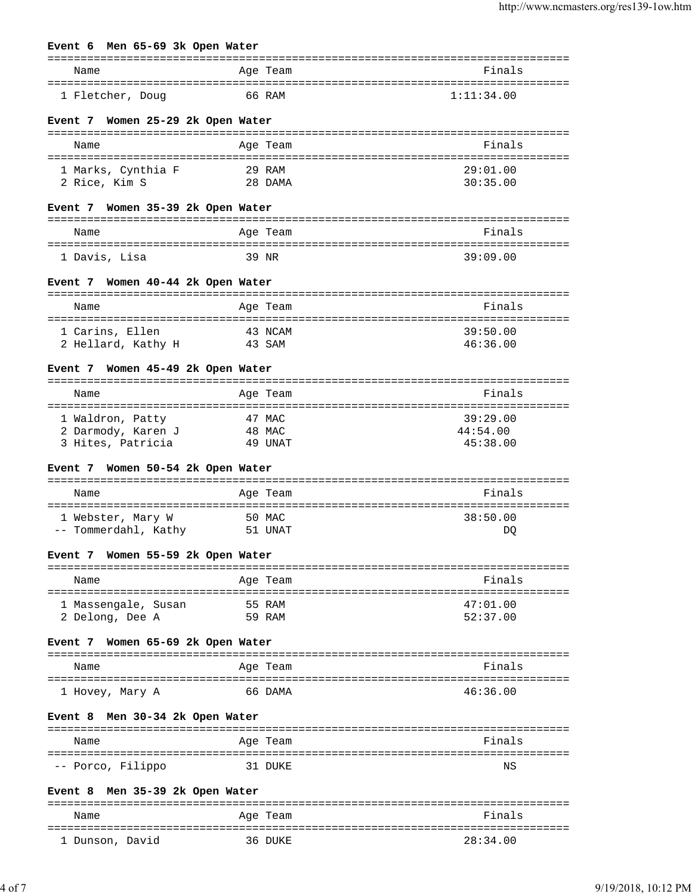# **Event 6 Men 65-69 3k Open Water** =============================================================================== Name **Age Team Age Team Age Team Pinals** =============================================================================== 1 Fletcher, Doug 66 RAM 1:11:34.00 **Event 7 Women 25-29 2k Open Water** =============================================================================== Name **Age Team Age Team Age Team Rame Pinals** =============================================================================== 1 Marks, Cynthia F 29 RAM 29:01.00 2 Rice, Kim S 28 DAMA 30:35.00 **Event 7 Women 35-39 2k Open Water** =============================================================================== Name **Age Team** Age Team **Finals** =============================================================================== 1 Davis, Lisa 39 NR 39:09.00 **Event 7 Women 40-44 2k Open Water** =============================================================================== Name **Age Team** Age Team **Finals** =============================================================================== 1 Carins, Ellen 43 NCAM 39:50.00<br>2 Hellard, Kathy H 43 SAM 46:36.00 2 Hellard, Kathy H 43 SAM 46:36.00 **Event 7 Women 45-49 2k Open Water** =============================================================================== Name **Age Team Age Team Reserves Pinals** =============================================================================== 1 Waldron, Patty 47 MAC 39:29.00 2 Darmody, Karen J 48 MAC 44:54.00 3 Hites, Patricia 49 UNAT 45:38.00 **Event 7 Women 50-54 2k Open Water** =============================================================================== Name **Age Team** Age Team **Finals** =============================================================================== 1 Webster, Mary W 50 MAC 38:50.00 -- Tommerdahl, Kathy 51 UNAT DQ **Event 7 Women 55-59 2k Open Water** =============================================================================== Name **Age Team** Age Team **Research Age Team** Prinals =============================================================================== 1 Massengale, Susan 55 RAM  $47:01.00$  2 Delong, Dee A 59 RAM 52:37.00 **Event 7 Women 65-69 2k Open Water** =============================================================================== Name Age Team Finals =============================================================================== 1 Hovey, Mary A 66 DAMA 46:36.00 **Event 8 Men 30-34 2k Open Water** =============================================================================== Name **Age Team** Age Team Finals =============================================================================== -- Porco, Filippo 31 DUKE NS

#### **Event 8 Men 35-39 2k Open Water**

| Name            | Age Team | Finals   |
|-----------------|----------|----------|
| 1 Dunson, David | 36 DUKE  | 28:34.00 |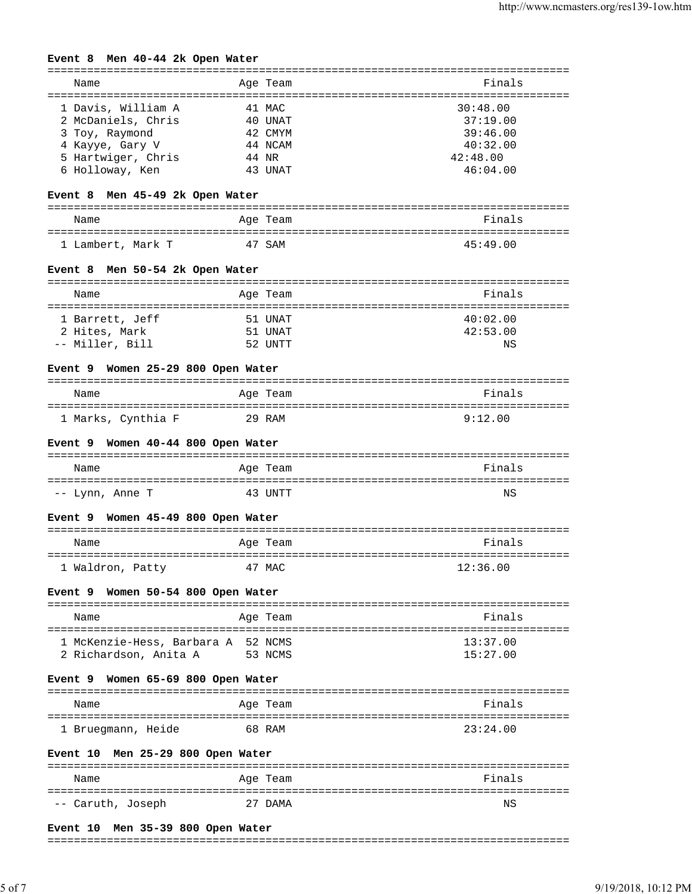## **Event 8 Men 40-44 2k Open Water**

| Name               |       | Age Team | Finals   |
|--------------------|-------|----------|----------|
| 1 Davis, William A |       | 41 MAC   | 30:48.00 |
| 2 McDaniels, Chris |       | 40 UNAT  | 37:19.00 |
| 3 Toy, Raymond     |       | 42. CMYM | 39:46.00 |
| 4 Kayye, Gary V    |       | 44 NCAM  | 40:32.00 |
| 5 Hartwiger, Chris | 44 NR |          | 42:48.00 |
| 6 Holloway, Ken    |       | 43 UNAT  | 46:04.00 |

## **Event 8 Men 45-49 2k Open Water**

| Name              | Age Team | Finals   |
|-------------------|----------|----------|
| 1 Lambert, Mark T | 47 SAM   | 45:49.00 |

#### **Event 8 Men 50-54 2k Open Water**

| Name            | Age Team | Finals   |
|-----------------|----------|----------|
|                 |          |          |
| 1 Barrett, Jeff | 51 UNAT  | 40:02.00 |
| 2 Hites, Mark   | 51 UNAT  | 42:53.00 |
| -- Miller, Bill | 52 UNTT  | ΝS       |

### **Event 9 Women 25-29 800 Open Water**

| Name               | Age Team | Finals  |
|--------------------|----------|---------|
| 1 Marks, Cynthia F | 29 RAM   | 9:12.00 |

#### **Event 9 Women 40-44 800 Open Water**

| Name            | Age Team | Finals |
|-----------------|----------|--------|
| -- Lynn, Anne T | 43 UNTT  | NS     |

### **Event 9 Women 45-49 800 Open Water**

| Name             | Age Team | Finals   |
|------------------|----------|----------|
| 1 Waldron, Patty | 47 MAC   | 12:36.00 |

### **Event 9 Women 50-54 800 Open Water**

| Name                               | Age Team | Finals   |
|------------------------------------|----------|----------|
| 1 McKenzie-Hess, Barbara A 52 NCMS |          | 13:37.00 |
| 2 Richardson, Anita A              | 53 NCMS  | 15:27.00 |

#### **Event 9 Women 65-69 800 Open Water**

| Name               | Age Team | Finals   |
|--------------------|----------|----------|
| 1 Bruegmann, Heide | 68 RAM   | 23:24.00 |

#### **Event 10 Men 25-29 800 Open Water**

| Name              | Age Team | Finals |
|-------------------|----------|--------|
| -- Caruth, Joseph | 27 DAMA  | ΝS     |
|                   |          |        |

## **Event 10 Men 35-39 800 Open Water**

#### ===============================================================================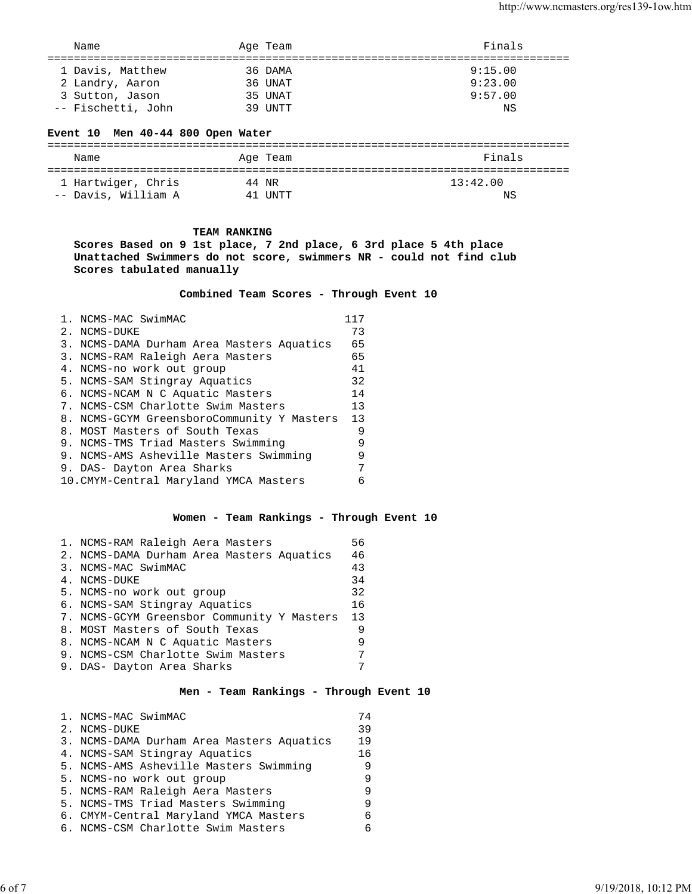| Name               |  | Age Team | Finals  |  |
|--------------------|--|----------|---------|--|
| 1 Davis, Matthew   |  | 36 DAMA  | 9:15.00 |  |
| 2 Landry, Aaron    |  | 36 UNAT  | 9:23.00 |  |
| 3 Sutton, Jason    |  | 35 UNAT  | 9:57.00 |  |
| -- Fischetti, John |  | 39 UNTT  | ΝS      |  |

# **Event 10 Men 40-44 800 Open Water**

| Name                | Age Team | Finals   |
|---------------------|----------|----------|
|                     |          |          |
| 1 Hartwiger, Chris  | 44 NR    | 13:42.00 |
| -- Davis, William A | 41 IINTT | ΝS       |

## **TEAM RANKING**

**Scores Based on 9 1st place, 7 2nd place, 6 3rd place 5 4th place Unattached Swimmers do not score, swimmers NR - could not find club Scores tabulated manually**

 **Combined Team Scores - Through Event 10** 

| 1. NCMS-MAC SwimMAC                        | 117 |
|--------------------------------------------|-----|
| 2. NCMS-DUKE                               | 73  |
| 3. NCMS-DAMA Durham Area Masters Aquatics  | 65  |
| 3. NCMS-RAM Raleigh Aera Masters           | 65  |
| 4. NCMS-no work out group                  | 41  |
| 5. NCMS-SAM Stingray Aquatics              | 32  |
| 6. NCMS-NCAM N C Aquatic Masters           | 14  |
| 7. NCMS-CSM Charlotte Swim Masters         | 13  |
| 8. NCMS-GCYM GreensboroCommunity Y Masters | 13  |
| 8. MOST Masters of South Texas             | 9   |
| 9. NCMS-TMS Triad Masters Swimming         | 9   |
| 9. NCMS-AMS Asheville Masters Swimming     | 9   |
| 9. DAS- Dayton Area Sharks                 | 7   |
| 10. CMYM-Central Maryland YMCA Masters     | Б   |

## **Women - Team Rankings - Through Event 10**

| 1. NCMS-RAM Raleigh Aera Masters           | 56 |
|--------------------------------------------|----|
| 2. NCMS-DAMA Durham Area Masters Aquatics  | 46 |
| 3. NCMS-MAC SwimMAC                        | 43 |
| 4. NCMS-DUKE                               | 34 |
| 5. NCMS-no work out group                  | 32 |
| 6. NCMS-SAM Stingray Aquatics              | 16 |
| 7. NCMS-GCYM Greensbor Community Y Masters | 13 |
| 8. MOST Masters of South Texas             | 9  |
| 8. NCMS-NCAM N C Aquatic Masters           | 9  |
| 9. NCMS-CSM Charlotte Swim Masters         | 7  |
| 9. DAS- Dayton Area Sharks                 | ⇁  |

## **Men - Team Rankings - Through Event 10**

| 1. NCMS-MAC SwimMAC                       | 74 |
|-------------------------------------------|----|
| 2. NCMS-DUKE                              | 39 |
| 3. NCMS-DAMA Durham Area Masters Aquatics | 19 |
| 4. NCMS-SAM Stingray Aquatics             | 16 |
| 5. NCMS-AMS Asheville Masters Swimming    | 9  |
| 5. NCMS-no work out group                 | 9  |
| 5. NCMS-RAM Raleigh Aera Masters          | q  |
| 5. NCMS-TMS Triad Masters Swimming        | 9  |
| 6. CMYM-Central Maryland YMCA Masters     | б  |
| 6. NCMS-CSM Charlotte Swim Masters        | 6  |